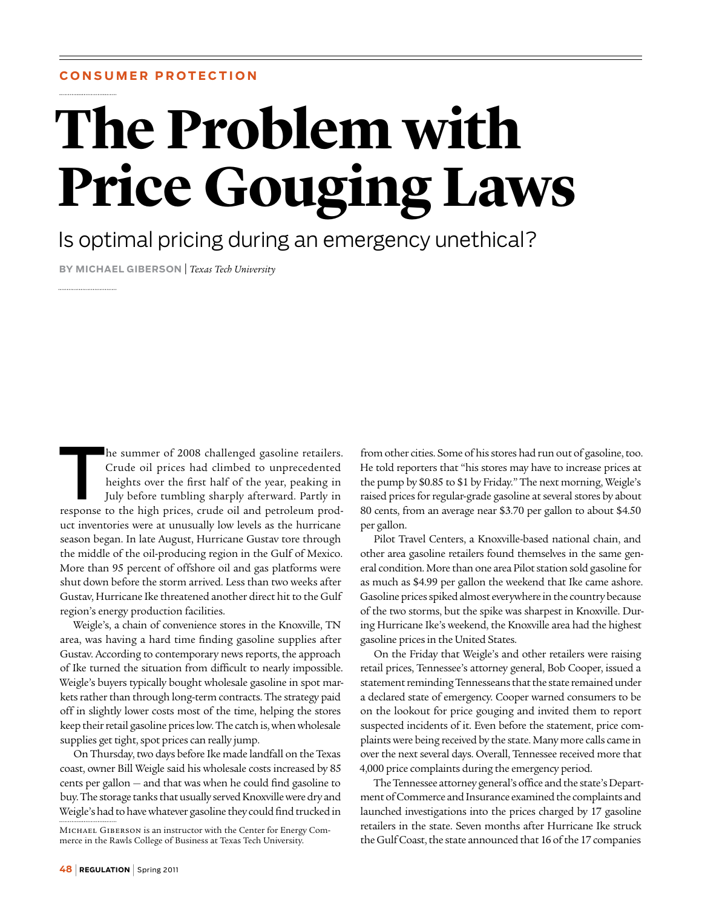# **Consume r P r ote c tion**

# **The Problem with Price Gouging Laws**

# Is optimal pricing during an emergency unethical?

**By Michael Giberson** | *Texas Tech University*

The summer of 2008 challenged gasoline retailers.<br>Crude oil prices had climbed to unprecedented<br>heights over the first half of the year, peaking in<br>July before tumbling sharply afterward. Partly in<br>response to the high pri Crude oil prices had climbed to unprecedented heights over the first half of the year, peaking in July before tumbling sharply afterward. Partly in response to the high prices, crude oil and petroleum product inventories were at unusually low levels as the hurricane season began. In late August, Hurricane Gustav tore through the middle of the oil-producing region in the Gulf of Mexico. More than 95 percent of offshore oil and gas platforms were shut down before the storm arrived. Less than two weeks after Gustav, Hurricane Ike threatened another direct hit to the Gulf region's energy production facilities.

Weigle's, a chain of convenience stores in the Knoxville, TN area, was having a hard time finding gasoline supplies after Gustav. According to contemporary news reports, the approach of Ike turned the situation from difficult to nearly impossible. Weigle's buyers typically bought wholesale gasoline in spot markets rather than through long-term contracts. The strategy paid off in slightly lower costs most of the time, helping the stores keep their retail gasoline prices low. The catch is, when wholesale supplies get tight, spot prices can really jump.

On Thursday, two days before Ike made landfall on the Texas coast, owner Bill Weigle said his wholesale costs increased by 85 cents per gallon — and that was when he could find gasoline to buy. The storage tanks that usually served Knoxville were dry and Weigle's had to have whatever gasoline they could find trucked in

Michael Giberson is an instructor with the Center for Energy Commerce in the Rawls College of Business at Texas Tech University.

from other cities. Some of his stores had run out of gasoline, too. He told reporters that "his stores may have to increase prices at the pump by \$0.85 to \$1 by Friday." The next morning, Weigle's raised prices for regular-grade gasoline at several stores by about 80 cents, from an average near \$3.70 per gallon to about \$4.50 per gallon.

Pilot Travel Centers, a Knoxville-based national chain, and other area gasoline retailers found themselves in the same general condition. More than one area Pilot station sold gasoline for as much as \$4.99 per gallon the weekend that Ike came ashore. Gasoline prices spiked almost everywhere in the country because of the two storms, but the spike was sharpest in Knoxville. During Hurricane Ike's weekend, the Knoxville area had the highest gasoline prices in the United States.

On the Friday that Weigle's and other retailers were raising retail prices, Tennessee's attorney general, Bob Cooper, issued a statement reminding Tennesseans that the state remained under a declared state of emergency. Cooper warned consumers to be on the lookout for price gouging and invited them to report suspected incidents of it. Even before the statement, price complaints were being received by the state. Many more calls came in over the next several days. Overall, Tennessee received more that 4,000 price complaints during the emergency period.

The Tennessee attorney general's office and the state's Department of Commerce and Insurance examined the complaints and launched investigations into the prices charged by 17 gasoline retailers in the state. Seven months after Hurricane Ike struck the Gulf Coast, the state announced that 16 of the 17 companies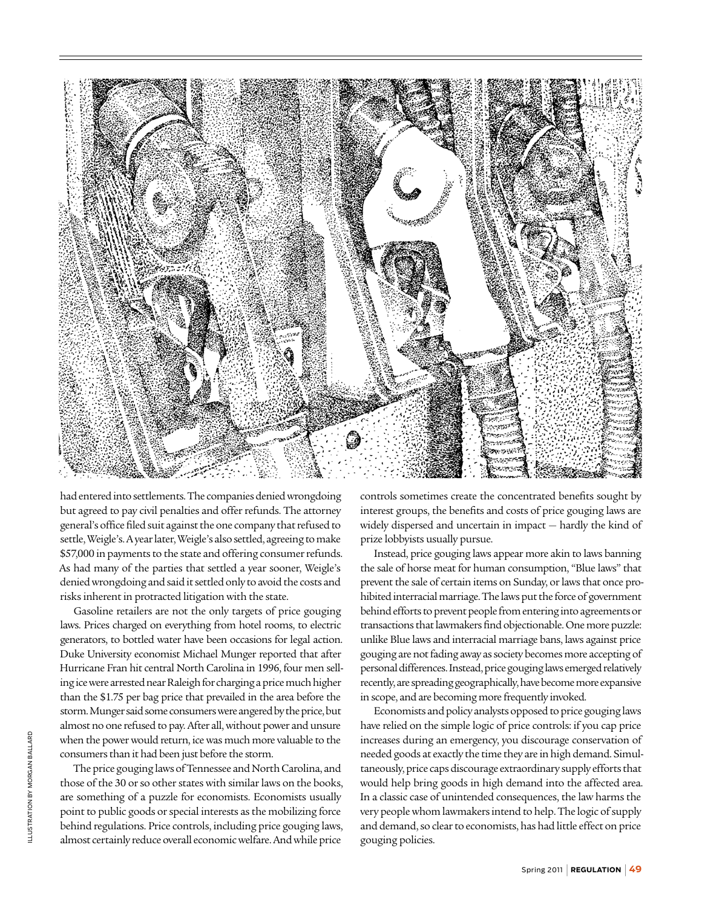

had entered into settlements. The companies denied wrongdoing but agreed to pay civil penalties and offer refunds. The attorney general's office filed suit against the one company that refused to settle, Weigle's. A year later, Weigle's also settled, agreeing to make \$57,000 in payments to the state and offering consumer refunds. As had many of the parties that settled a year sooner, Weigle's denied wrongdoing and said it settled only to avoid the costs and risks inherent in protracted litigation with the state.

Gasoline retailers are not the only targets of price gouging laws. Prices charged on everything from hotel rooms, to electric generators, to bottled water have been occasions for legal action. Duke University economist Michael Munger reported that after Hurricane Fran hit central North Carolina in 1996, four men selling ice were arrested near Raleigh for charging a price much higher than the \$1.75 per bag price that prevailed in the area before the storm. Munger said some consumers were angered by the price, but almost no one refused to pay. After all, without power and unsure when the power would return, ice was much more valuable to the consumers than it had been just before the storm.

The price gouging laws of Tennessee and North Carolina, and those of the 30 or so other states with similar laws on the books, are something of a puzzle for economists. Economists usually point to public goods or special interests as the mobilizing force behind regulations. Price controls, including price gouging laws, almost certainly reduce overall economic welfare. And while price

controls sometimes create the concentrated benefits sought by interest groups, the benefits and costs of price gouging laws are widely dispersed and uncertain in impact — hardly the kind of prize lobbyists usually pursue.

Instead, price gouging laws appear more akin to laws banning the sale of horse meat for human consumption, "Blue laws" that prevent the sale of certain items on Sunday, or laws that once prohibited interracial marriage. The laws put the force of government behind efforts to prevent people from entering into agreements or transactions that lawmakers find objectionable. One more puzzle: unlike Blue laws and interracial marriage bans, laws against price gouging are not fading away as society becomes more accepting of personal differences. Instead, price gouging laws emerged relatively recently, are spreading geographically, have become more expansive in scope, and are becoming more frequently invoked.

Economists and policy analysts opposed to price gouging laws have relied on the simple logic of price controls: if you cap price increases during an emergency, you discourage conservation of needed goods at exactly the time they are in high demand. Simultaneously, price caps discourage extraordinary supply efforts that would help bring goods in high demand into the affected area. In a classic case of unintended consequences, the law harms the very people whom lawmakers intend to help. The logic of supply and demand, so clear to economists, has had little effect on price gouging policies.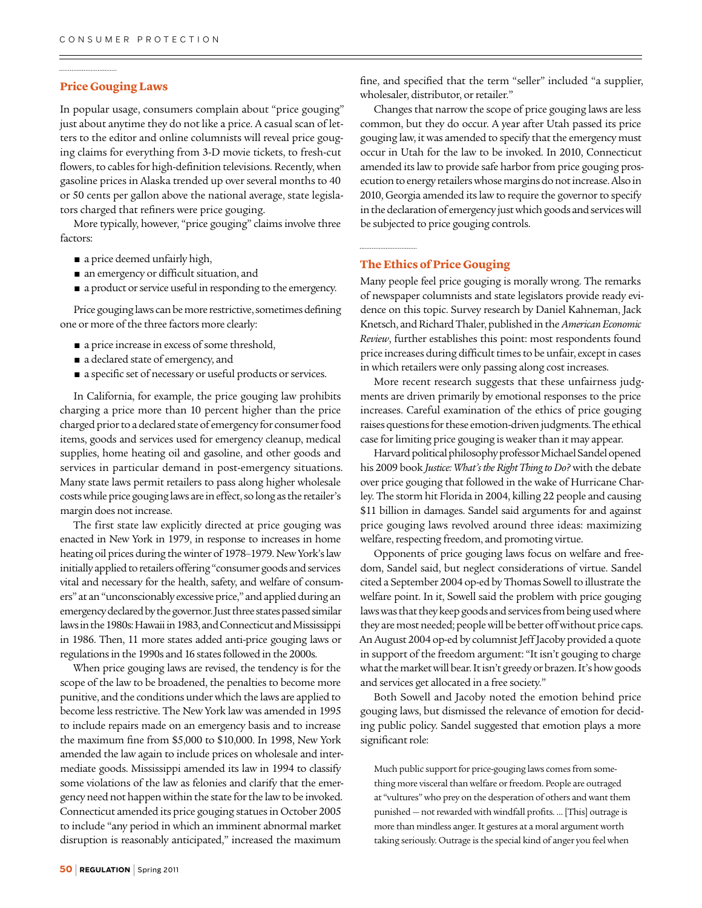## **Price Gouging Laws**

In popular usage, consumers complain about "price gouging" just about anytime they do not like a price. A casual scan of letters to the editor and online columnists will reveal price gouging claims for everything from 3-D movie tickets, to fresh-cut flowers, to cables for high-definition televisions. Recently, when gasoline prices in Alaska trended up over several months to 40 or 50 cents per gallon above the national average, state legislators charged that refiners were price gouging.

More typically, however, "price gouging" claims involve three factors:

- a price deemed unfairly high,
- an emergency or difficult situation, and
- a product or service useful in responding to the emergency.

Price gouging laws can be more restrictive, sometimes defining one or more of the three factors more clearly:

- a price increase in excess of some threshold,
- a declared state of emergency, and
- a specific set of necessary or useful products or services.

In California, for example, the price gouging law prohibits charging a price more than 10 percent higher than the price charged prior to a declared state of emergency for consumer food items, goods and services used for emergency cleanup, medical supplies, home heating oil and gasoline, and other goods and services in particular demand in post-emergency situations. Many state laws permit retailers to pass along higher wholesale costs while price gouging laws are in effect, so long as the retailer's margin does not increase.

The first state law explicitly directed at price gouging was enacted in New York in 1979, in response to increases in home heating oil prices during the winter of 1978–1979. New York's law initially applied to retailers offering "consumer goods and services vital and necessary for the health, safety, and welfare of consumers" at an "unconscionably excessive price," and applied during an emergency declared by the governor. Just three states passed similar laws in the 1980s: Hawaii in 1983, and Connecticut and Mississippi in 1986. Then, 11 more states added anti-price gouging laws or regulations in the 1990s and 16 states followed in the 2000s.

When price gouging laws are revised, the tendency is for the scope of the law to be broadened, the penalties to become more punitive, and the conditions under which the laws are applied to become less restrictive. The New York law was amended in 1995 to include repairs made on an emergency basis and to increase the maximum fine from \$5,000 to \$10,000. In 1998, New York amended the law again to include prices on wholesale and intermediate goods. Mississippi amended its law in 1994 to classify some violations of the law as felonies and clarify that the emergency need not happen within the state for the law to be invoked. Connecticut amended its price gouging statues in October 2005 to include "any period in which an imminent abnormal market disruption is reasonably anticipated," increased the maximum

fine, and specified that the term "seller" included "a supplier, wholesaler, distributor, or retailer."

Changes that narrow the scope of price gouging laws are less common, but they do occur. A year after Utah passed its price gouging law, it was amended to specify that the emergency must occur in Utah for the law to be invoked. In 2010, Connecticut amended its law to provide safe harbor from price gouging prosecution to energy retailers whose margins do not increase. Also in 2010, Georgia amended its law to require the governor to specify in the declaration of emergency just which goods and services will be subjected to price gouging controls.

### **The Ethics of Price Gouging**

Many people feel price gouging is morally wrong. The remarks of newspaper columnists and state legislators provide ready evidence on this topic. Survey research by Daniel Kahneman, Jack Knetsch, and Richard Thaler, published in the *American Economic Review*, further establishes this point: most respondents found price increases during difficult times to be unfair, except in cases in which retailers were only passing along cost increases.

More recent research suggests that these unfairness judgments are driven primarily by emotional responses to the price increases. Careful examination of the ethics of price gouging raises questions for these emotion-driven judgments. The ethical case for limiting price gouging is weaker than it may appear.

Harvard political philosophy professor Michael Sandel opened his 2009 book *Justice: What's the Right Thing to Do?* with the debate over price gouging that followed in the wake of Hurricane Charley. The storm hit Florida in 2004, killing 22 people and causing \$11 billion in damages. Sandel said arguments for and against price gouging laws revolved around three ideas: maximizing welfare, respecting freedom, and promoting virtue.

Opponents of price gouging laws focus on welfare and freedom, Sandel said, but neglect considerations of virtue. Sandel cited a September 2004 op-ed by Thomas Sowell to illustrate the welfare point. In it, Sowell said the problem with price gouging laws was that they keep goods and services from being used where they are most needed; people will be better off without price caps. An August 2004 op-ed by columnist Jeff Jacoby provided a quote in support of the freedom argument: "It isn't gouging to charge what the market will bear. It isn't greedy or brazen. It's how goods and services get allocated in a free society."

Both Sowell and Jacoby noted the emotion behind price gouging laws, but dismissed the relevance of emotion for deciding public policy. Sandel suggested that emotion plays a more significant role:

Much public support for price-gouging laws comes from something more visceral than welfare or freedom. People are outraged at "vultures" who prey on the desperation of others and want them punished — not rewarded with windfall profits. … [This] outrage is more than mindless anger. It gestures at a moral argument worth taking seriously. Outrage is the special kind of anger you feel when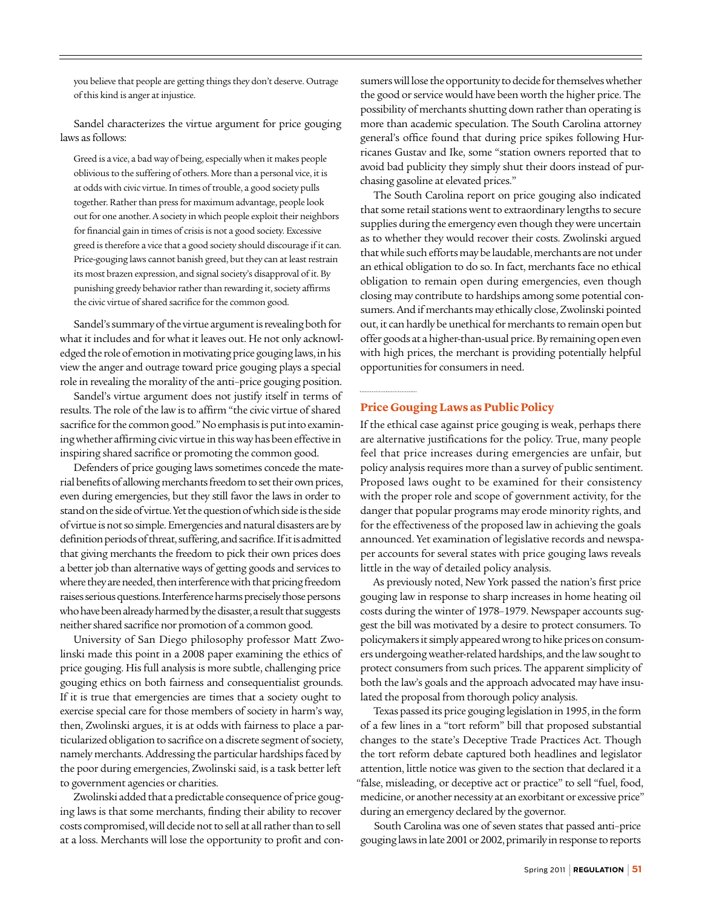you believe that people are getting things they don't deserve. Outrage of this kind is anger at injustice.

Sandel characterizes the virtue argument for price gouging laws as follows:

Greed is a vice, a bad way of being, especially when it makes people oblivious to the suffering of others. More than a personal vice, it is at odds with civic virtue. In times of trouble, a good society pulls together. Rather than press for maximum advantage, people look out for one another. A society in which people exploit their neighbors for financial gain in times of crisis is not a good society. Excessive greed is therefore a vice that a good society should discourage if it can. Price-gouging laws cannot banish greed, but they can at least restrain its most brazen expression, and signal society's disapproval of it. By punishing greedy behavior rather than rewarding it, society affirms the civic virtue of shared sacrifice for the common good.

Sandel's summary of the virtue argument is revealing both for what it includes and for what it leaves out. He not only acknowledged the role of emotion in motivating price gouging laws, in his view the anger and outrage toward price gouging plays a special role in revealing the morality of the anti–price gouging position.

Sandel's virtue argument does not justify itself in terms of results. The role of the law is to affirm "the civic virtue of shared sacrifice for the common good." No emphasis is put into examining whether affirming civic virtue in this way has been effective in inspiring shared sacrifice or promoting the common good.

Defenders of price gouging laws sometimes concede the material benefits of allowing merchants freedom to set their own prices, even during emergencies, but they still favor the laws in order to stand on the side of virtue. Yet the question of which side is the side of virtue is not so simple. Emergencies and natural disasters are by definition periods of threat, suffering, and sacrifice. If it is admitted that giving merchants the freedom to pick their own prices does a better job than alternative ways of getting goods and services to where they are needed, then interference with that pricing freedom raises serious questions. Interference harms precisely those persons who have been already harmed by the disaster, a result that suggests neither shared sacrifice nor promotion of a common good.

University of San Diego philosophy professor Matt Zwolinski made this point in a 2008 paper examining the ethics of price gouging. His full analysis is more subtle, challenging price gouging ethics on both fairness and consequentialist grounds. If it is true that emergencies are times that a society ought to exercise special care for those members of society in harm's way, then, Zwolinski argues, it is at odds with fairness to place a particularized obligation to sacrifice on a discrete segment of society, namely merchants. Addressing the particular hardships faced by the poor during emergencies, Zwolinski said, is a task better left to government agencies or charities.

Zwolinski added that a predictable consequence of price gouging laws is that some merchants, finding their ability to recover costs compromised, will decide not to sell at all rather than to sell at a loss. Merchants will lose the opportunity to profit and consumers will lose the opportunity to decide for themselves whether the good or service would have been worth the higher price. The possibility of merchants shutting down rather than operating is more than academic speculation. The South Carolina attorney general's office found that during price spikes following Hurricanes Gustav and Ike, some "station owners reported that to avoid bad publicity they simply shut their doors instead of purchasing gasoline at elevated prices."

The South Carolina report on price gouging also indicated that some retail stations went to extraordinary lengths to secure supplies during the emergency even though they were uncertain as to whether they would recover their costs. Zwolinski argued that while such efforts may be laudable, merchants are not under an ethical obligation to do so. In fact, merchants face no ethical obligation to remain open during emergencies, even though closing may contribute to hardships among some potential consumers. And if merchants may ethically close, Zwolinski pointed out, it can hardly be unethical for merchants to remain open but offer goods at a higher-than-usual price. By remaining open even with high prices, the merchant is providing potentially helpful opportunities for consumers in need.

### **Price Gouging Laws as Public Policy**

If the ethical case against price gouging is weak, perhaps there are alternative justifications for the policy. True, many people feel that price increases during emergencies are unfair, but policy analysis requires more than a survey of public sentiment. Proposed laws ought to be examined for their consistency with the proper role and scope of government activity, for the danger that popular programs may erode minority rights, and for the effectiveness of the proposed law in achieving the goals announced. Yet examination of legislative records and newspaper accounts for several states with price gouging laws reveals little in the way of detailed policy analysis.

As previously noted, New York passed the nation's first price gouging law in response to sharp increases in home heating oil costs during the winter of 1978–1979. Newspaper accounts suggest the bill was motivated by a desire to protect consumers. To policymakers it simply appeared wrong to hike prices on consumers undergoing weather-related hardships, and the law sought to protect consumers from such prices. The apparent simplicity of both the law's goals and the approach advocated may have insulated the proposal from thorough policy analysis.

Texas passed its price gouging legislation in 1995, in the form of a few lines in a "tort reform" bill that proposed substantial changes to the state's Deceptive Trade Practices Act. Though the tort reform debate captured both headlines and legislator attention, little notice was given to the section that declared it a "false, misleading, or deceptive act or practice" to sell "fuel, food, medicine, or another necessity at an exorbitant or excessive price" during an emergency declared by the governor.

South Carolina was one of seven states that passed anti–price gouging laws in late 2001 or 2002, primarily in response to reports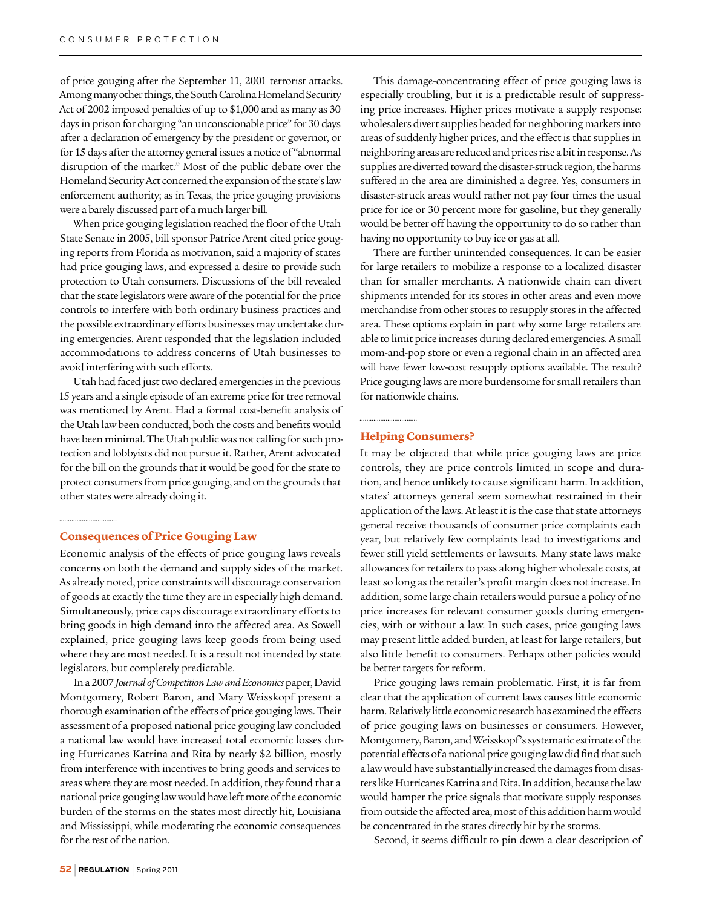of price gouging after the September 11, 2001 terrorist attacks. Among many other things, the South Carolina Homeland Security Act of 2002 imposed penalties of up to \$1,000 and as many as 30 days in prison for charging "an unconscionable price" for 30 days after a declaration of emergency by the president or governor, or for 15 days after the attorney general issues a notice of "abnormal disruption of the market." Most of the public debate over the Homeland Security Act concerned the expansion of the state's law enforcement authority; as in Texas, the price gouging provisions were a barely discussed part of a much larger bill.

When price gouging legislation reached the floor of the Utah State Senate in 2005, bill sponsor Patrice Arent cited price gouging reports from Florida as motivation, said a majority of states had price gouging laws, and expressed a desire to provide such protection to Utah consumers. Discussions of the bill revealed that the state legislators were aware of the potential for the price controls to interfere with both ordinary business practices and the possible extraordinary efforts businesses may undertake during emergencies. Arent responded that the legislation included accommodations to address concerns of Utah businesses to avoid interfering with such efforts.

Utah had faced just two declared emergencies in the previous 15 years and a single episode of an extreme price for tree removal was mentioned by Arent. Had a formal cost-benefit analysis of the Utah law been conducted, both the costs and benefits would have been minimal. The Utah public was not calling for such protection and lobbyists did not pursue it. Rather, Arent advocated for the bill on the grounds that it would be good for the state to protect consumers from price gouging, and on the grounds that other states were already doing it.

#### **Consequences of Price Gouging Law**

Economic analysis of the effects of price gouging laws reveals concerns on both the demand and supply sides of the market. As already noted, price constraints will discourage conservation of goods at exactly the time they are in especially high demand. Simultaneously, price caps discourage extraordinary efforts to bring goods in high demand into the affected area. As Sowell explained, price gouging laws keep goods from being used where they are most needed. It is a result not intended by state legislators, but completely predictable.

In a 2007 *Journal of Competition Law and Economics* paper, David Montgomery, Robert Baron, and Mary Weisskopf present a thorough examination of the effects of price gouging laws. Their assessment of a proposed national price gouging law concluded a national law would have increased total economic losses during Hurricanes Katrina and Rita by nearly \$2 billion, mostly from interference with incentives to bring goods and services to areas where they are most needed. In addition, they found that a national price gouging law would have left more of the economic burden of the storms on the states most directly hit, Louisiana and Mississippi, while moderating the economic consequences for the rest of the nation.

This damage-concentrating effect of price gouging laws is especially troubling, but it is a predictable result of suppressing price increases. Higher prices motivate a supply response: wholesalers divert supplies headed for neighboring markets into areas of suddenly higher prices, and the effect is that supplies in neighboring areas are reduced and prices rise a bit in response. As supplies are diverted toward the disaster-struck region, the harms suffered in the area are diminished a degree. Yes, consumers in disaster-struck areas would rather not pay four times the usual price for ice or 30 percent more for gasoline, but they generally would be better off having the opportunity to do so rather than having no opportunity to buy ice or gas at all.

There are further unintended consequences. It can be easier for large retailers to mobilize a response to a localized disaster than for smaller merchants. A nationwide chain can divert shipments intended for its stores in other areas and even move merchandise from other stores to resupply stores in the affected area. These options explain in part why some large retailers are able to limit price increases during declared emergencies. A small mom-and-pop store or even a regional chain in an affected area will have fewer low-cost resupply options available. The result? Price gouging laws are more burdensome for small retailers than for nationwide chains.

#### **Helping Consumers?**

It may be objected that while price gouging laws are price controls, they are price controls limited in scope and duration, and hence unlikely to cause significant harm. In addition, states' attorneys general seem somewhat restrained in their application of the laws. At least it is the case that state attorneys general receive thousands of consumer price complaints each year, but relatively few complaints lead to investigations and fewer still yield settlements or lawsuits. Many state laws make allowances for retailers to pass along higher wholesale costs, at least so long as the retailer's profit margin does not increase. In addition, some large chain retailers would pursue a policy of no price increases for relevant consumer goods during emergencies, with or without a law. In such cases, price gouging laws may present little added burden, at least for large retailers, but also little benefit to consumers. Perhaps other policies would be better targets for reform.

Price gouging laws remain problematic. First, it is far from clear that the application of current laws causes little economic harm. Relatively little economic research has examined the effects of price gouging laws on businesses or consumers. However, Montgomery, Baron, and Weisskopf's systematic estimate of the potential effects of a national price gouging law did find that such a law would have substantially increased the damages from disasters like Hurricanes Katrina and Rita. In addition, because the law would hamper the price signals that motivate supply responses from outside the affected area, most of this addition harm would be concentrated in the states directly hit by the storms.

Second, it seems difficult to pin down a clear description of